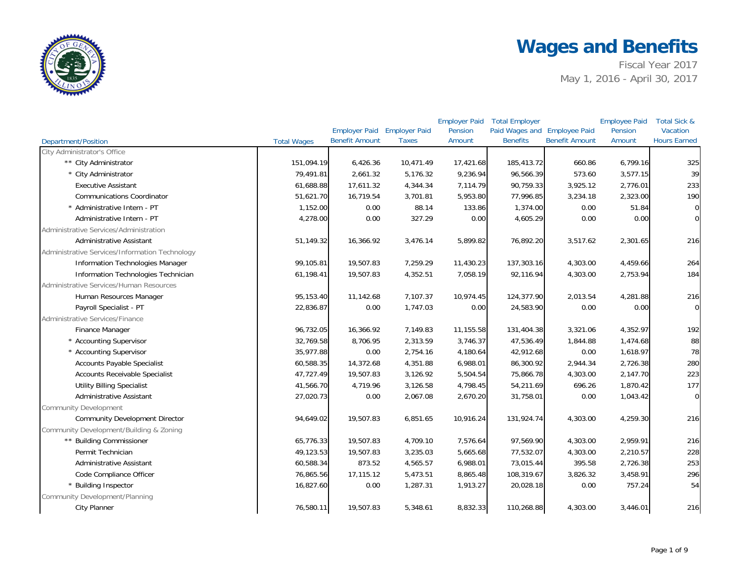

|                                                |                    |                                                      |              | <b>Employer Paid</b> | <b>Total Employer</b>                           |                       | <b>Employee Paid</b> | Total Sick &                    |
|------------------------------------------------|--------------------|------------------------------------------------------|--------------|----------------------|-------------------------------------------------|-----------------------|----------------------|---------------------------------|
| <b>Department/Position</b>                     | <b>Total Wages</b> | Employer Paid Employer Paid<br><b>Benefit Amount</b> | <b>Taxes</b> | Pension<br>Amount    | Paid Wages and Employee Paid<br><b>Benefits</b> | <b>Benefit Amount</b> | Pension<br>Amount    | Vacation<br><b>Hours Earned</b> |
| City Administrator's Office                    |                    |                                                      |              |                      |                                                 |                       |                      |                                 |
| ** City Administrator                          | 151,094.19         | 6,426.36                                             | 10,471.49    | 17,421.68            | 185,413.72                                      | 660.86                | 6,799.16             | 325                             |
| * City Administrator                           | 79,491.81          | 2,661.32                                             | 5,176.32     | 9,236.94             | 96,566.39                                       | 573.60                | 3,577.15             | 39                              |
| <b>Executive Assistant</b>                     | 61,688.88          | 17,611.32                                            | 4,344.34     | 7,114.79             | 90,759.33                                       | 3,925.12              | 2,776.01             | 233                             |
| <b>Communications Coordinator</b>              | 51,621.70          | 16,719.54                                            | 3,701.81     | 5,953.80             | 77,996.85                                       | 3,234.18              | 2,323.00             | 190                             |
| * Administrative Intern - PT                   | 1,152.00           | 0.00                                                 | 88.14        | 133.86               | 1,374.00                                        | 0.00                  | 51.84                | $\overline{0}$                  |
| Administrative Intern - PT                     | 4,278.00           | 0.00                                                 | 327.29       | 0.00                 | 4,605.29                                        | 0.00                  | 0.00                 | $\overline{0}$                  |
| Administrative Services/Administration         |                    |                                                      |              |                      |                                                 |                       |                      |                                 |
| <b>Administrative Assistant</b>                | 51,149.32          | 16,366.92                                            | 3,476.14     | 5,899.82             | 76,892.20                                       | 3,517.62              | 2,301.65             | 216                             |
| Administrative Services/Information Technology |                    |                                                      |              |                      |                                                 |                       |                      |                                 |
| Information Technologies Manager               | 99,105.81          | 19,507.83                                            | 7,259.29     | 11,430.23            | 137,303.16                                      | 4,303.00              | 4,459.66             | 264                             |
| Information Technologies Technician            | 61,198.41          | 19,507.83                                            | 4,352.51     | 7,058.19             | 92,116.94                                       | 4,303.00              | 2,753.94             | 184                             |
| Administrative Services/Human Resources        |                    |                                                      |              |                      |                                                 |                       |                      |                                 |
| Human Resources Manager                        | 95,153.40          | 11,142.68                                            | 7,107.37     | 10,974.45            | 124,377.90                                      | 2,013.54              | 4,281.88             | 216                             |
| Payroll Specialist - PT                        | 22,836.87          | 0.00                                                 | 1,747.03     | 0.00                 | 24,583.90                                       | 0.00                  | 0.00                 | $\overline{0}$                  |
| Administrative Services/Finance                |                    |                                                      |              |                      |                                                 |                       |                      |                                 |
| Finance Manager                                | 96,732.05          | 16,366.92                                            | 7,149.83     | 11,155.58            | 131,404.38                                      | 3,321.06              | 4,352.97             | 192                             |
| * Accounting Supervisor                        | 32,769.58          | 8,706.95                                             | 2,313.59     | 3,746.37             | 47,536.49                                       | 1,844.88              | 1,474.68             | 88                              |
| * Accounting Supervisor                        | 35,977.88          | 0.00                                                 | 2,754.16     | 4,180.64             | 42,912.68                                       | 0.00                  | 1,618.97             | 78                              |
| Accounts Payable Specialist                    | 60,588.35          | 14,372.68                                            | 4,351.88     | 6,988.01             | 86,300.92                                       | 2,944.34              | 2,726.38             | 280                             |
| <b>Accounts Receivable Specialist</b>          | 47,727.49          | 19,507.83                                            | 3,126.92     | 5,504.54             | 75,866.78                                       | 4,303.00              | 2,147.70             | 223                             |
| <b>Utility Billing Specialist</b>              | 41,566.70          | 4,719.96                                             | 3,126.58     | 4,798.45             | 54,211.69                                       | 696.26                | 1,870.42             | 177                             |
| <b>Administrative Assistant</b>                | 27,020.73          | 0.00                                                 | 2,067.08     | 2,670.20             | 31,758.01                                       | 0.00                  | 1,043.42             | $\overline{O}$                  |
| <b>Community Development</b>                   |                    |                                                      |              |                      |                                                 |                       |                      |                                 |
| <b>Community Development Director</b>          | 94,649.02          | 19,507.83                                            | 6,851.65     | 10,916.24            | 131,924.74                                      | 4,303.00              | 4,259.30             | 216                             |
| Community Development/Building & Zoning        |                    |                                                      |              |                      |                                                 |                       |                      |                                 |
| ** Building Commissioner                       | 65,776.33          | 19,507.83                                            | 4,709.10     | 7,576.64             | 97,569.90                                       | 4,303.00              | 2,959.91             | 216                             |
| Permit Technician                              | 49,123.53          | 19,507.83                                            | 3,235.03     | 5,665.68             | 77,532.07                                       | 4,303.00              | 2,210.57             | 228                             |
| Administrative Assistant                       | 60,588.34          | 873.52                                               | 4,565.57     | 6,988.01             | 73,015.44                                       | 395.58                | 2,726.38             | 253                             |
| Code Compliance Officer                        | 76,865.56          | 17,115.12                                            | 5,473.51     | 8,865.48             | 108,319.67                                      | 3,826.32              | 3,458.91             | 296                             |
| * Building Inspector                           | 16,827.60          | 0.00                                                 | 1,287.31     | 1,913.27             | 20,028.18                                       | 0.00                  | 757.24               | 54                              |
| Community Development/Planning                 |                    |                                                      |              |                      |                                                 |                       |                      |                                 |
| City Planner                                   | 76,580.11          | 19,507.83                                            | 5,348.61     | 8,832.33             | 110,268.88                                      | 4,303.00              | 3,446.01             | 216                             |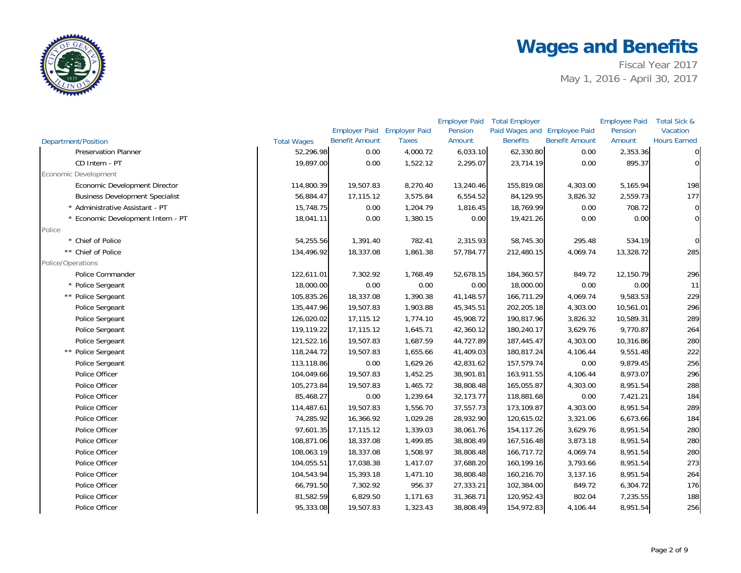

|                                        |                    |                                    |              | <b>Employer Paid</b> | <b>Total Employer</b>        |                       | <b>Employee Paid</b> | Total Sick &        |
|----------------------------------------|--------------------|------------------------------------|--------------|----------------------|------------------------------|-----------------------|----------------------|---------------------|
|                                        |                    | <b>Employer Paid Employer Paid</b> |              | Pension              | Paid Wages and Employee Paid |                       | Pension              | <b>Vacation</b>     |
| Department/Position                    | <b>Total Wages</b> | <b>Benefit Amount</b>              | <b>Taxes</b> | Amount               | <b>Benefits</b>              | <b>Benefit Amount</b> | Amount               | <b>Hours Earned</b> |
| <b>Preservation Planner</b>            | 52,296.98          | 0.00                               | 4,000.72     | 6,033.10             | 62,330.80                    | 0.00                  | 2,353.36             | $\overline{0}$      |
| CD Intern - PT                         | 19,897.00          | 0.00                               | 1,522.12     | 2,295.07             | 23,714.19                    | 0.00                  | 895.37               | $\mathbf 0$         |
| Economic Development                   |                    |                                    |              |                      |                              |                       |                      |                     |
| Economic Development Director          | 114,800.39         | 19,507.83                          | 8,270.40     | 13,240.46            | 155,819.08                   | 4,303.00              | 5,165.94             | 198                 |
| <b>Business Development Specialist</b> | 56,884.47          | 17,115.12                          | 3,575.84     | 6,554.52             | 84,129.95                    | 3,826.32              | 2,559.73             | 177                 |
| * Administrative Assistant - PT        | 15,748.75          | 0.00                               | 1,204.79     | 1,816.45             | 18,769.99                    | 0.00                  | 708.72               | $\overline{0}$      |
| * Economic Development Intern - PT     | 18,041.11          | 0.00                               | 1,380.15     | 0.00                 | 19,421.26                    | 0.00                  | 0.00                 | $\overline{0}$      |
| Police                                 |                    |                                    |              |                      |                              |                       |                      |                     |
| * Chief of Police                      | 54,255.56          | 1,391.40                           | 782.41       | 2,315.93             | 58,745.30                    | 295.48                | 534.19               | $\overline{O}$      |
| ** Chief of Police                     | 134,496.92         | 18,337.08                          | 1,861.38     | 57,784.77            | 212,480.15                   | 4,069.74              | 13,328.72            | 285                 |
| Police/Operations                      |                    |                                    |              |                      |                              |                       |                      |                     |
| Police Commander                       | 122,611.01         | 7,302.92                           | 1,768.49     | 52,678.15            | 184,360.57                   | 849.72                | 12,150.79            | 296                 |
| * Police Sergeant                      | 18,000.00          | 0.00                               | 0.00         | 0.00                 | 18,000.00                    | 0.00                  | 0.00                 | 11                  |
| ** Police Sergeant                     | 105,835.26         | 18,337.08                          | 1,390.38     | 41,148.57            | 166,711.29                   | 4,069.74              | 9,583.53             | 229                 |
| Police Sergeant                        | 135,447.96         | 19,507.83                          | 1,903.88     | 45,345.51            | 202,205.18                   | 4,303.00              | 10,561.01            | 296                 |
| Police Sergeant                        | 126,020.02         | 17,115.12                          | 1,774.10     | 45,908.72            | 190,817.96                   | 3,826.32              | 10,589.31            | 289                 |
| Police Sergeant                        | 119,119.22         | 17,115.12                          | 1,645.71     | 42,360.12            | 180,240.17                   | 3,629.76              | 9,770.87             | 264                 |
| Police Sergeant                        | 121,522.16         | 19,507.83                          | 1,687.59     | 44,727.89            | 187,445.47                   | 4,303.00              | 10,316.86            | 280                 |
| ** Police Sergeant                     | 118,244.72         | 19,507.83                          | 1,655.66     | 41,409.03            | 180,817.24                   | 4,106.44              | 9,551.48             | 222                 |
| Police Sergeant                        | 113,118.86         | 0.00                               | 1,629.26     | 42,831.62            | 157,579.74                   | 0.00                  | 9,879.45             | 256                 |
| Police Officer                         | 104,049.66         | 19,507.83                          | 1,452.25     | 38,901.81            | 163,911.55                   | 4,106.44              | 8,973.07             | 296                 |
| Police Officer                         | 105,273.84         | 19,507.83                          | 1,465.72     | 38,808.48            | 165,055.87                   | 4,303.00              | 8,951.54             | 288                 |
| Police Officer                         | 85,468.27          | 0.00                               | 1,239.64     | 32,173.77            | 118,881.68                   | 0.00                  | 7,421.21             | 184                 |
| Police Officer                         | 114,487.61         | 19,507.83                          | 1,556.70     | 37,557.73            | 173,109.87                   | 4,303.00              | 8,951.54             | 289                 |
| Police Officer                         | 74,285.92          | 16,366.92                          | 1,029.28     | 28,932.90            | 120,615.02                   | 3,321.06              | 6,673.66             | 184                 |
| Police Officer                         | 97,601.35          | 17,115.12                          | 1,339.03     | 38,061.76            | 154,117.26                   | 3,629.76              | 8,951.54             | 280                 |
| Police Officer                         | 108,871.06         | 18,337.08                          | 1,499.85     | 38,808.49            | 167,516.48                   | 3,873.18              | 8,951.54             | 280                 |
| Police Officer                         | 108,063.19         | 18,337.08                          | 1,508.97     | 38,808.48            | 166,717.72                   | 4,069.74              | 8,951.54             | 280                 |
| Police Officer                         | 104,055.51         | 17,038.38                          | 1,417.07     | 37,688.20            | 160,199.16                   | 3,793.66              | 8,951.54             | 273                 |
| Police Officer                         | 104,543.94         | 15,393.18                          | 1,471.10     | 38,808.48            | 160,216.70                   | 3,137.16              | 8,951.54             | 264                 |
| Police Officer                         | 66,791.50          | 7,302.92                           | 956.37       | 27,333.21            | 102,384.00                   | 849.72                | 6,304.72             | 176                 |
| Police Officer                         | 81,582.59          | 6,829.50                           | 1,171.63     | 31,368.71            | 120,952.43                   | 802.04                | 7,235.55             | 188                 |
| Police Officer                         | 95,333.08          | 19,507.83                          | 1,323.43     | 38,808.49            | 154,972.83                   | 4,106.44              | 8,951.54             | 256                 |
|                                        |                    |                                    |              |                      |                              |                       |                      |                     |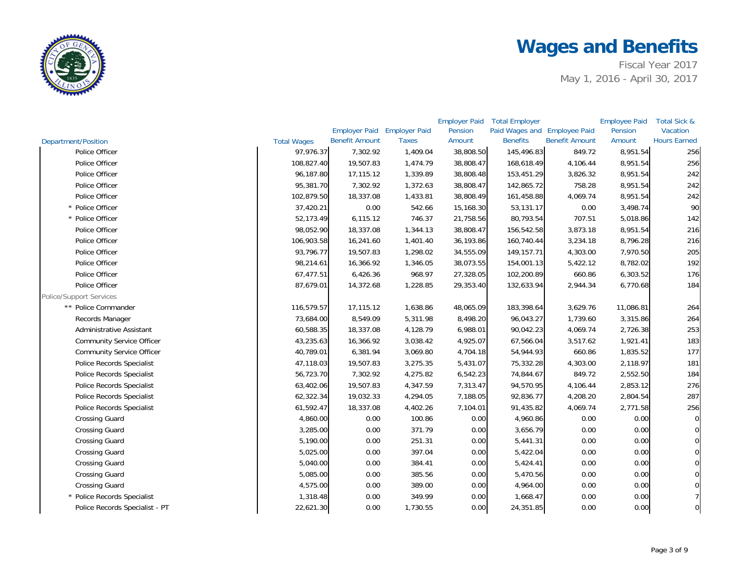

|                                  |                    |                             |              | <b>Employer Paid</b> | <b>Total Employer</b>        |                       | <b>Employee Paid</b> | Total Sick &        |
|----------------------------------|--------------------|-----------------------------|--------------|----------------------|------------------------------|-----------------------|----------------------|---------------------|
|                                  |                    | Employer Paid Employer Paid |              | Pension              | Paid Wages and Employee Paid |                       | Pension              | Vacation            |
| Department/Position              | <b>Total Wages</b> | <b>Benefit Amount</b>       | <b>Taxes</b> | Amount               | <b>Benefits</b>              | <b>Benefit Amount</b> | Amount               | <b>Hours Earned</b> |
| Police Officer                   | 97.976.37          | 7,302.92                    | 1,409.04     | 38,808.50            | 145,496.83                   | 849.72                | 8,951.54             | 256                 |
| Police Officer                   | 108,827.40         | 19,507.83                   | 1,474.79     | 38,808.47            | 168,618.49                   | 4,106.44              | 8,951.54             | 256                 |
| Police Officer                   | 96,187.80          | 17,115.12                   | 1,339.89     | 38,808.48            | 153,451.29                   | 3,826.32              | 8,951.54             | 242                 |
| Police Officer                   | 95,381.70          | 7,302.92                    | 1,372.63     | 38,808.47            | 142,865.72                   | 758.28                | 8,951.54             | 242                 |
| Police Officer                   | 102,879.50         | 18,337.08                   | 1,433.81     | 38,808.49            | 161,458.88                   | 4,069.74              | 8,951.54             | 242                 |
| * Police Officer                 | 37,420.21          | 0.00                        | 542.66       | 15,168.30            | 53,131.17                    | 0.00                  | 3,498.74             | 90                  |
| * Police Officer                 | 52,173.49          | 6,115.12                    | 746.37       | 21,758.56            | 80,793.54                    | 707.51                | 5,018.86             | 142                 |
| Police Officer                   | 98,052.90          | 18,337.08                   | 1,344.13     | 38,808.47            | 156,542.58                   | 3,873.18              | 8,951.54             | 216                 |
| Police Officer                   | 106,903.58         | 16,241.60                   | 1,401.40     | 36,193.86            | 160,740.44                   | 3,234.18              | 8,796.28             | 216                 |
| Police Officer                   | 93,796.77          | 19,507.83                   | 1,298.02     | 34,555.09            | 149, 157. 71                 | 4,303.00              | 7,970.50             | 205                 |
| Police Officer                   | 98,214.61          | 16,366.92                   | 1,346.05     | 38,073.55            | 154,001.13                   | 5,422.12              | 8,782.02             | 192                 |
| Police Officer                   | 67,477.51          | 6,426.36                    | 968.97       | 27,328.05            | 102,200.89                   | 660.86                | 6,303.52             | 176                 |
| Police Officer                   | 87,679.01          | 14,372.68                   | 1,228.85     | 29,353.40            | 132,633.94                   | 2,944.34              | 6,770.68             | 184                 |
| <b>Police/Support Services</b>   |                    |                             |              |                      |                              |                       |                      |                     |
| ** Police Commander              | 116,579.57         | 17,115.12                   | 1,638.86     | 48,065.09            | 183,398.64                   | 3,629.76              | 11,086.81            | 264                 |
| Records Manager                  | 73,684.00          | 8,549.09                    | 5,311.98     | 8,498.20             | 96,043.27                    | 1,739.60              | 3,315.86             | 264                 |
| <b>Administrative Assistant</b>  | 60,588.35          | 18,337.08                   | 4,128.79     | 6,988.01             | 90,042.23                    | 4,069.74              | 2,726.38             | 253                 |
| <b>Community Service Officer</b> | 43,235.63          | 16,366.92                   | 3,038.42     | 4,925.07             | 67,566.04                    | 3,517.62              | 1,921.41             | 183                 |
| <b>Community Service Officer</b> | 40,789.01          | 6,381.94                    | 3,069.80     | 4,704.18             | 54,944.93                    | 660.86                | 1,835.52             | 177                 |
| <b>Police Records Specialist</b> | 47,118.03          | 19,507.83                   | 3,275.35     | 5,431.07             | 75,332.28                    | 4,303.00              | 2,118.97             | 181                 |
| <b>Police Records Specialist</b> | 56,723.70          | 7,302.92                    | 4,275.82     | 6,542.23             | 74,844.67                    | 849.72                | 2,552.50             | 184                 |
| Police Records Specialist        | 63,402.06          | 19,507.83                   | 4,347.59     | 7,313.47             | 94,570.95                    | 4,106.44              | 2,853.12             | 276                 |
| Police Records Specialist        | 62,322.34          | 19,032.33                   | 4,294.05     | 7,188.05             | 92,836.77                    | 4,208.20              | 2,804.54             | 287                 |
| Police Records Specialist        | 61,592.47          | 18,337.08                   | 4,402.26     | 7,104.01             | 91,435.82                    | 4,069.74              | 2,771.58             | 256                 |
| <b>Crossing Guard</b>            | 4,860.00           | 0.00                        | 100.86       | 0.00                 | 4,960.86                     | 0.00                  | 0.00                 | $\mathbf 0$         |
| <b>Crossing Guard</b>            | 3,285.00           | 0.00                        | 371.79       | 0.00                 | 3,656.79                     | 0.00                  | 0.00                 | $\Omega$            |
| <b>Crossing Guard</b>            | 5,190.00           | 0.00                        | 251.31       | 0.00                 | 5,441.31                     | 0.00                  | 0.00                 | 0                   |
| <b>Crossing Guard</b>            | 5,025.00           | 0.00                        | 397.04       | 0.00                 | 5,422.04                     | 0.00                  | 0.00                 | 0                   |
| <b>Crossing Guard</b>            | 5,040.00           | 0.00                        | 384.41       | 0.00                 | 5,424.41                     | 0.00                  | 0.00                 |                     |
| <b>Crossing Guard</b>            | 5,085.00           | 0.00                        | 385.56       | 0.00                 | 5,470.56                     | 0.00                  | 0.00                 |                     |
| <b>Crossing Guard</b>            | 4,575.00           | 0.00                        | 389.00       | 0.00                 | 4,964.00                     | 0.00                  | 0.00                 |                     |
| * Police Records Specialist      | 1,318.48           | 0.00                        | 349.99       | 0.00                 | 1,668.47                     | 0.00                  | 0.00                 |                     |
| Police Records Specialist - PT   | 22,621.30          | 0.00                        | 1,730.55     | 0.00                 | 24,351.85                    | 0.00                  | 0.00                 | 0                   |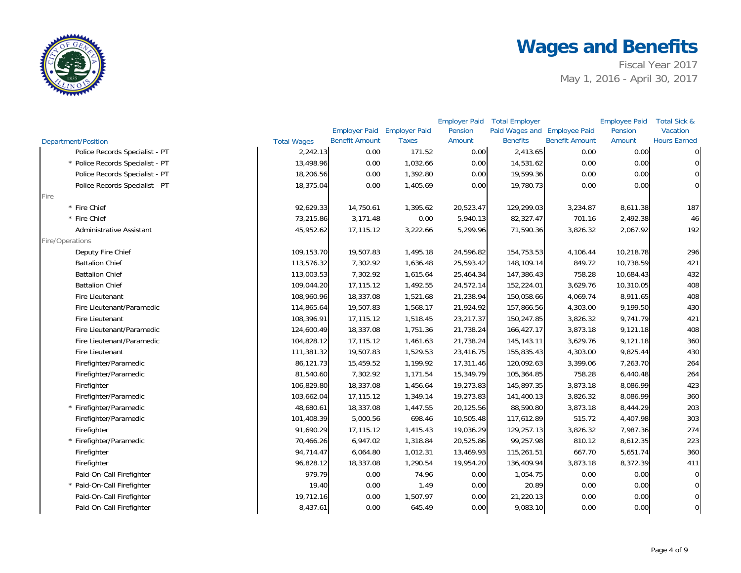

|                                  |                    |                             |              | <b>Employer Paid</b> | <b>Total Employer</b>        |                       | <b>Employee Paid</b> | Total Sick &        |
|----------------------------------|--------------------|-----------------------------|--------------|----------------------|------------------------------|-----------------------|----------------------|---------------------|
|                                  |                    | Employer Paid Employer Paid |              | Pension              | Paid Wages and Employee Paid |                       | Pension              | Vacation            |
| <b>Department/Position</b>       | <b>Total Wages</b> | <b>Benefit Amount</b>       | <b>Taxes</b> | Amount               | <b>Benefits</b>              | <b>Benefit Amount</b> | Amount               | <b>Hours Earned</b> |
| Police Records Specialist - PT   | 2,242.13           | 0.00                        | 171.52       | 0.00                 | 2,413.65                     | 0.00                  | 0.00                 | $\overline{O}$      |
| * Police Records Specialist - PT | 13,498.96          | 0.00                        | 1,032.66     | 0.00                 | 14,531.62                    | 0.00                  | 0.00                 | $\mathbf 0$         |
| Police Records Specialist - PT   | 18,206.56          | 0.00                        | 1,392.80     | 0.00                 | 19,599.36                    | 0.00                  | 0.00                 | $\overline{0}$      |
| Police Records Specialist - PT   | 18,375.04          | 0.00                        | 1,405.69     | 0.00                 | 19,780.73                    | 0.00                  | 0.00                 | $\overline{0}$      |
| Fire                             |                    |                             |              |                      |                              |                       |                      |                     |
| * Fire Chief                     | 92,629.33          | 14,750.61                   | 1,395.62     | 20,523.47            | 129,299.03                   | 3,234.87              | 8,611.38             | 187                 |
| * Fire Chief                     | 73,215.86          | 3,171.48                    | 0.00         | 5,940.13             | 82,327.47                    | 701.16                | 2,492.38             | 46                  |
| Administrative Assistant         | 45,952.62          | 17,115.12                   | 3,222.66     | 5,299.96             | 71,590.36                    | 3,826.32              | 2,067.92             | 192                 |
| Fire/Operations                  |                    |                             |              |                      |                              |                       |                      |                     |
| Deputy Fire Chief                | 109,153.70         | 19,507.83                   | 1,495.18     | 24,596.82            | 154,753.53                   | 4,106.44              | 10,218.78            | 296                 |
| <b>Battalion Chief</b>           | 113,576.32         | 7,302.92                    | 1,636.48     | 25,593.42            | 148,109.14                   | 849.72                | 10,738.59            | 421                 |
| <b>Battalion Chief</b>           | 113,003.53         | 7,302.92                    | 1,615.64     | 25,464.34            | 147,386.43                   | 758.28                | 10,684.43            | 432                 |
| <b>Battalion Chief</b>           | 109,044.20         | 17,115.12                   | 1,492.55     | 24,572.14            | 152,224.01                   | 3,629.76              | 10,310.05            | 408                 |
| <b>Fire Lieutenant</b>           | 108,960.96         | 18,337.08                   | 1,521.68     | 21,238.94            | 150,058.66                   | 4,069.74              | 8,911.65             | 408                 |
| Fire Lieutenant/Paramedic        | 114,865.64         | 19,507.83                   | 1,568.17     | 21,924.92            | 157,866.56                   | 4,303.00              | 9,199.50             | 430                 |
| <b>Fire Lieutenant</b>           | 108,396.91         | 17,115.12                   | 1,518.45     | 23,217.37            | 150,247.85                   | 3,826.32              | 9,741.79             | 421                 |
| Fire Lieutenant/Paramedic        | 124,600.49         | 18,337.08                   | 1,751.36     | 21,738.24            | 166,427.17                   | 3,873.18              | 9,121.18             | 408                 |
| Fire Lieutenant/Paramedic        | 104,828.12         | 17,115.12                   | 1,461.63     | 21,738.24            | 145,143.11                   | 3,629.76              | 9,121.18             | 360                 |
| <b>Fire Lieutenant</b>           | 111,381.32         | 19,507.83                   | 1,529.53     | 23,416.75            | 155,835.43                   | 4,303.00              | 9,825.44             | 430                 |
| Firefighter/Paramedic            | 86,121.73          | 15,459.52                   | 1,199.92     | 17,311.46            | 120,092.63                   | 3,399.06              | 7,263.70             | 264                 |
| Firefighter/Paramedic            | 81,540.60          | 7,302.92                    | 1,171.54     | 15,349.79            | 105,364.85                   | 758.28                | 6,440.48             | 264                 |
| Firefighter                      | 106,829.80         | 18,337.08                   | 1,456.64     | 19,273.83            | 145,897.35                   | 3,873.18              | 8,086.99             | 423                 |
| Firefighter/Paramedic            | 103,662.04         | 17,115.12                   | 1,349.14     | 19,273.83            | 141,400.13                   | 3,826.32              | 8,086.99             | 360                 |
| * Firefighter/Paramedic          | 48,680.61          | 18,337.08                   | 1,447.55     | 20,125.56            | 88,590.80                    | 3,873.18              | 8,444.29             | 203                 |
| Firefighter/Paramedic            | 101,408.39         | 5,000.56                    | 698.46       | 10,505.48            | 117,612.89                   | 515.72                | 4,407.98             | 303                 |
| Firefighter                      | 91,690.29          | 17,115.12                   | 1,415.43     | 19,036.29            | 129,257.13                   | 3,826.32              | 7,987.36             | 274                 |
| * Firefighter/Paramedic          | 70,466.26          | 6,947.02                    | 1,318.84     | 20,525.86            | 99,257.98                    | 810.12                | 8,612.35             | 223                 |
| Firefighter                      | 94,714.47          | 6,064.80                    | 1,012.31     | 13,469.93            | 115,261.51                   | 667.70                | 5,651.74             | 360                 |
| Firefighter                      | 96,828.12          | 18,337.08                   | 1,290.54     | 19,954.20            | 136,409.94                   | 3,873.18              | 8,372.39             | 411                 |
| Paid-On-Call Firefighter         | 979.79             | 0.00                        | 74.96        | 0.00                 | 1,054.75                     | 0.00                  | 0.00                 | $\overline{0}$      |
| * Paid-On-Call Firefighter       | 19.40              | 0.00                        | 1.49         | 0.00                 | 20.89                        | 0.00                  | 0.00                 | $\overline{0}$      |
| Paid-On-Call Firefighter         | 19,712.16          | 0.00                        | 1,507.97     | 0.00                 | 21,220.13                    | 0.00                  | 0.00                 | $\overline{0}$      |
| Paid-On-Call Firefighter         | 8,437.61           | 0.00                        | 645.49       | 0.00                 | 9,083.10                     | 0.00                  | 0.00                 | $\mathbf 0$         |
|                                  |                    |                             |              |                      |                              |                       |                      |                     |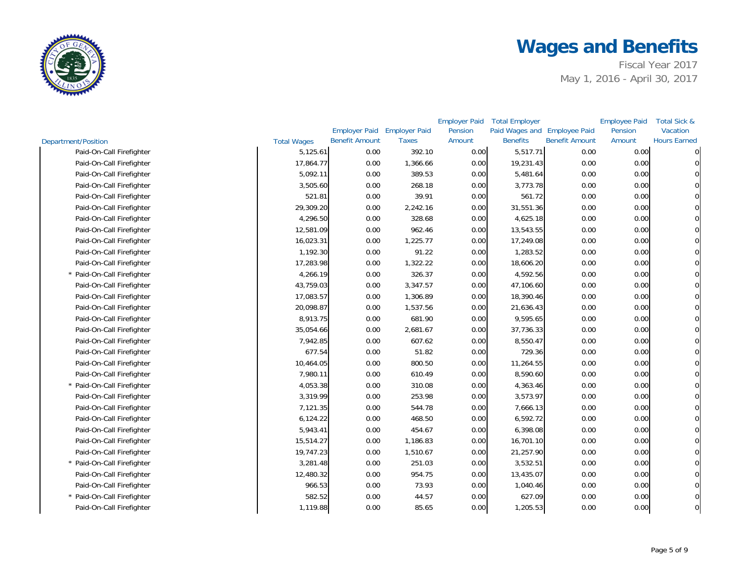

|                            |                    |                             |              | <b>Employer Paid</b> | <b>Total Employer</b>        |                       | <b>Employee Paid</b> | Total Sick &        |
|----------------------------|--------------------|-----------------------------|--------------|----------------------|------------------------------|-----------------------|----------------------|---------------------|
|                            |                    | Employer Paid Employer Paid |              | Pension              | Paid Wages and Employee Paid |                       | Pension              | Vacation            |
| Department/Position        | <b>Total Wages</b> | <b>Benefit Amount</b>       | <b>Taxes</b> | Amount               | <b>Benefits</b>              | <b>Benefit Amount</b> | Amount               | <b>Hours Earned</b> |
| Paid-On-Call Firefighter   | 5,125.61           | 0.00                        | 392.10       | 0.00                 | 5,517.71                     | 0.00                  | 0.00                 |                     |
| Paid-On-Call Firefighter   | 17,864.77          | 0.00                        | 1,366.66     | 0.00                 | 19,231.43                    | 0.00                  | 0.00                 |                     |
| Paid-On-Call Firefighter   | 5,092.11           | 0.00                        | 389.53       | 0.00                 | 5,481.64                     | 0.00                  | 0.00                 |                     |
| Paid-On-Call Firefighter   | 3,505.60           | 0.00                        | 268.18       | 0.00                 | 3,773.78                     | 0.00                  | 0.00                 |                     |
| Paid-On-Call Firefighter   | 521.81             | 0.00                        | 39.91        | 0.00                 | 561.72                       | 0.00                  | 0.00                 |                     |
| Paid-On-Call Firefighter   | 29,309.20          | 0.00                        | 2,242.16     | 0.00                 | 31,551.36                    | 0.00                  | 0.00                 |                     |
| Paid-On-Call Firefighter   | 4,296.50           | 0.00                        | 328.68       | 0.00                 | 4,625.18                     | 0.00                  | 0.00                 |                     |
| Paid-On-Call Firefighter   | 12,581.09          | 0.00                        | 962.46       | 0.00                 | 13,543.55                    | 0.00                  | 0.00                 |                     |
| Paid-On-Call Firefighter   | 16,023.31          | 0.00                        | 1,225.77     | 0.00                 | 17,249.08                    | 0.00                  | 0.00                 |                     |
| Paid-On-Call Firefighter   | 1,192.30           | 0.00                        | 91.22        | 0.00                 | 1,283.52                     | 0.00                  | 0.00                 |                     |
| Paid-On-Call Firefighter   | 17,283.98          | 0.00                        | 1,322.22     | 0.00                 | 18,606.20                    | 0.00                  | 0.00                 |                     |
| * Paid-On-Call Firefighter | 4,266.19           | 0.00                        | 326.37       | 0.00                 | 4,592.56                     | 0.00                  | 0.00                 |                     |
| Paid-On-Call Firefighter   | 43,759.03          | 0.00                        | 3,347.57     | 0.00                 | 47,106.60                    | 0.00                  | 0.00                 |                     |
| Paid-On-Call Firefighter   | 17,083.57          | 0.00                        | 1,306.89     | 0.00                 | 18,390.46                    | 0.00                  | 0.00                 |                     |
| Paid-On-Call Firefighter   | 20,098.87          | 0.00                        | 1,537.56     | 0.00                 | 21,636.43                    | 0.00                  | 0.00                 |                     |
| Paid-On-Call Firefighter   | 8,913.75           | 0.00                        | 681.90       | 0.00                 | 9,595.65                     | 0.00                  | 0.00                 |                     |
| Paid-On-Call Firefighter   | 35,054.66          | 0.00                        | 2,681.67     | 0.00                 | 37,736.33                    | 0.00                  | 0.00                 |                     |
| Paid-On-Call Firefighter   | 7,942.85           | 0.00                        | 607.62       | 0.00                 | 8,550.47                     | 0.00                  | 0.00                 |                     |
| Paid-On-Call Firefighter   | 677.54             | 0.00                        | 51.82        | 0.00                 | 729.36                       | 0.00                  | 0.00                 |                     |
| Paid-On-Call Firefighter   | 10,464.05          | 0.00                        | 800.50       | 0.00                 | 11,264.55                    | 0.00                  | 0.00                 |                     |
| Paid-On-Call Firefighter   | 7,980.11           | 0.00                        | 610.49       | 0.00                 | 8,590.60                     | 0.00                  | 0.00                 |                     |
| * Paid-On-Call Firefighter | 4,053.38           | 0.00                        | 310.08       | 0.00                 | 4,363.46                     | 0.00                  | 0.00                 |                     |
| Paid-On-Call Firefighter   | 3,319.99           | 0.00                        | 253.98       | 0.00                 | 3,573.97                     | 0.00                  | 0.00                 |                     |
| Paid-On-Call Firefighter   | 7,121.35           | 0.00                        | 544.78       | 0.00                 | 7,666.13                     | 0.00                  | 0.00                 |                     |
| Paid-On-Call Firefighter   | 6,124.22           | 0.00                        | 468.50       | 0.00                 | 6,592.72                     | 0.00                  | 0.00                 |                     |
| Paid-On-Call Firefighter   | 5,943.41           | 0.00                        | 454.67       | 0.00                 | 6,398.08                     | 0.00                  | 0.00                 |                     |
| Paid-On-Call Firefighter   | 15,514.27          | 0.00                        | 1,186.83     | 0.00                 | 16,701.10                    | 0.00                  | 0.00                 |                     |
| Paid-On-Call Firefighter   | 19,747.23          | 0.00                        | 1,510.67     | 0.00                 | 21,257.90                    | 0.00                  | 0.00                 |                     |
| * Paid-On-Call Firefighter | 3,281.48           | 0.00                        | 251.03       | 0.00                 | 3,532.51                     | 0.00                  | 0.00                 |                     |
| Paid-On-Call Firefighter   | 12,480.32          | 0.00                        | 954.75       | 0.00                 | 13,435.07                    | 0.00                  | 0.00                 |                     |
| Paid-On-Call Firefighter   | 966.53             | 0.00                        | 73.93        | 0.00                 | 1,040.46                     | 0.00                  | 0.00                 |                     |
| * Paid-On-Call Firefighter | 582.52             | 0.00                        | 44.57        | 0.00                 | 627.09                       | 0.00                  | 0.00                 |                     |
| Paid-On-Call Firefighter   | 1,119.88           | 0.00                        | 85.65        | 0.00                 | 1,205.53                     | 0.00                  | 0.00                 | 0                   |
|                            |                    |                             |              |                      |                              |                       |                      |                     |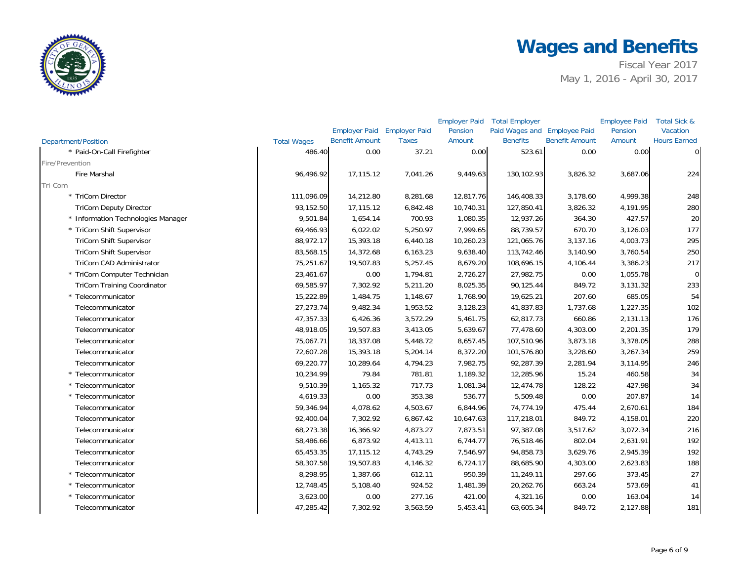

|                                    |                    |                             |              | <b>Employer Paid</b> | <b>Total Employer</b>        |                       | <b>Employee Paid</b> | Total Sick &        |
|------------------------------------|--------------------|-----------------------------|--------------|----------------------|------------------------------|-----------------------|----------------------|---------------------|
|                                    |                    | Employer Paid Employer Paid |              | Pension              | Paid Wages and Employee Paid |                       | Pension              | Vacation            |
| <b>Department/Position</b>         | <b>Total Wages</b> | <b>Benefit Amount</b>       | <b>Taxes</b> | Amount               | <b>Benefits</b>              | <b>Benefit Amount</b> | Amount               | <b>Hours Earned</b> |
| * Paid-On-Call Firefighter         | 486.40             | 0.00                        | 37.21        | 0.00                 | 523.61                       | 0.00                  | 0.00                 | $\Omega$            |
| Fire/Prevention                    |                    |                             |              |                      |                              |                       |                      |                     |
| <b>Fire Marshal</b>                | 96,496.92          | 17,115.12                   | 7,041.26     | 9,449.63             | 130,102.93                   | 3,826.32              | 3,687.06             | 224                 |
| Tri-Com                            |                    |                             |              |                      |                              |                       |                      |                     |
| * TriCom Director                  | 111,096.09         | 14,212.80                   | 8,281.68     | 12,817.76            | 146,408.33                   | 3,178.60              | 4,999.38             | 248                 |
| <b>TriCom Deputy Director</b>      | 93,152.50          | 17,115.12                   | 6,842.48     | 10,740.31            | 127,850.41                   | 3,826.32              | 4,191.95             | 280                 |
| * Information Technologies Manager | 9,501.84           | 1,654.14                    | 700.93       | 1,080.35             | 12,937.26                    | 364.30                | 427.57               | 20                  |
| * TriCom Shift Supervisor          | 69,466.93          | 6,022.02                    | 5,250.97     | 7,999.65             | 88,739.57                    | 670.70                | 3,126.03             | 177                 |
| <b>TriCom Shift Supervisor</b>     | 88,972.17          | 15,393.18                   | 6,440.18     | 10,260.23            | 121,065.76                   | 3,137.16              | 4,003.73             | 295                 |
| <b>TriCom Shift Supervisor</b>     | 83,568.15          | 14,372.68                   | 6,163.23     | 9,638.40             | 113,742.46                   | 3,140.90              | 3,760.54             | 250                 |
| TriCom CAD Administrator           | 75,251.67          | 19,507.83                   | 5,257.45     | 8,679.20             | 108,696.15                   | 4,106.44              | 3,386.23             | 217                 |
| * TriCom Computer Technician       | 23,461.67          | 0.00                        | 1,794.81     | 2,726.27             | 27,982.75                    | 0.00                  | 1,055.78             | $\overline{O}$      |
| <b>TriCom Training Coordinator</b> | 69,585.97          | 7,302.92                    | 5,211.20     | 8,025.35             | 90,125.44                    | 849.72                | 3,131.32             | 233                 |
| * Telecommunicator                 | 15,222.89          | 1,484.75                    | 1,148.67     | 1,768.90             | 19,625.21                    | 207.60                | 685.05               | 54                  |
| Telecommunicator                   | 27,273.74          | 9,482.34                    | 1,953.52     | 3,128.23             | 41,837.83                    | 1,737.68              | 1,227.35             | 102                 |
| Telecommunicator                   | 47,357.33          | 6,426.36                    | 3,572.29     | 5,461.75             | 62,817.73                    | 660.86                | 2,131.13             | 176                 |
| Telecommunicator                   | 48,918.05          | 19,507.83                   | 3,413.05     | 5,639.67             | 77,478.60                    | 4,303.00              | 2,201.35             | 179                 |
| Telecommunicator                   | 75,067.71          | 18,337.08                   | 5,448.72     | 8,657.45             | 107,510.96                   | 3,873.18              | 3,378.05             | 288                 |
| Telecommunicator                   | 72,607.28          | 15,393.18                   | 5,204.14     | 8,372.20             | 101,576.80                   | 3,228.60              | 3,267.34             | 259                 |
| Telecommunicator                   | 69,220.77          | 10,289.64                   | 4,794.23     | 7,982.75             | 92,287.39                    | 2,281.94              | 3,114.95             | 246                 |
| * Telecommunicator                 | 10,234.99          | 79.84                       | 781.81       | 1,189.32             | 12,285.96                    | 15.24                 | 460.58               | 34                  |
| * Telecommunicator                 | 9,510.39           | 1,165.32                    | 717.73       | 1,081.34             | 12,474.78                    | 128.22                | 427.98               | 34                  |
| * Telecommunicator                 | 4,619.33           | 0.00                        | 353.38       | 536.77               | 5,509.48                     | 0.00                  | 207.87               | 14                  |
| Telecommunicator                   | 59,346.94          | 4,078.62                    | 4,503.67     | 6,844.96             | 74,774.19                    | 475.44                | 2,670.61             | 184                 |
| Telecommunicator                   | 92,400.04          | 7,302.92                    | 6,867.42     | 10,647.63            | 117,218.01                   | 849.72                | 4,158.01             | 220                 |
| Telecommunicator                   | 68,273.38          | 16,366.92                   | 4,873.27     | 7,873.51             | 97,387.08                    | 3,517.62              | 3,072.34             | 216                 |
| Telecommunicator                   | 58,486.66          | 6,873.92                    | 4,413.11     | 6,744.77             | 76,518.46                    | 802.04                | 2,631.91             | 192                 |
| Telecommunicator                   | 65,453.35          | 17,115.12                   | 4,743.29     | 7,546.97             | 94,858.73                    | 3,629.76              | 2,945.39             | 192                 |
| Telecommunicator                   | 58,307.58          | 19,507.83                   | 4,146.32     | 6,724.17             | 88,685.90                    | 4,303.00              | 2,623.83             | 188                 |
| * Telecommunicator                 | 8,298.95           | 1,387.66                    | 612.11       | 950.39               | 11,249.11                    | 297.66                | 373.45               | 27                  |
| * Telecommunicator                 | 12,748.45          | 5,108.40                    | 924.52       | 1,481.39             | 20,262.76                    | 663.24                | 573.69               | 41                  |
| * Telecommunicator                 | 3,623.00           | 0.00                        | 277.16       | 421.00               | 4,321.16                     | 0.00                  | 163.04               | 14                  |
| Telecommunicator                   | 47,285.42          | 7,302.92                    | 3,563.59     | 5,453.41             | 63,605.34                    | 849.72                | 2,127.88             | 181                 |
|                                    |                    |                             |              |                      |                              |                       |                      |                     |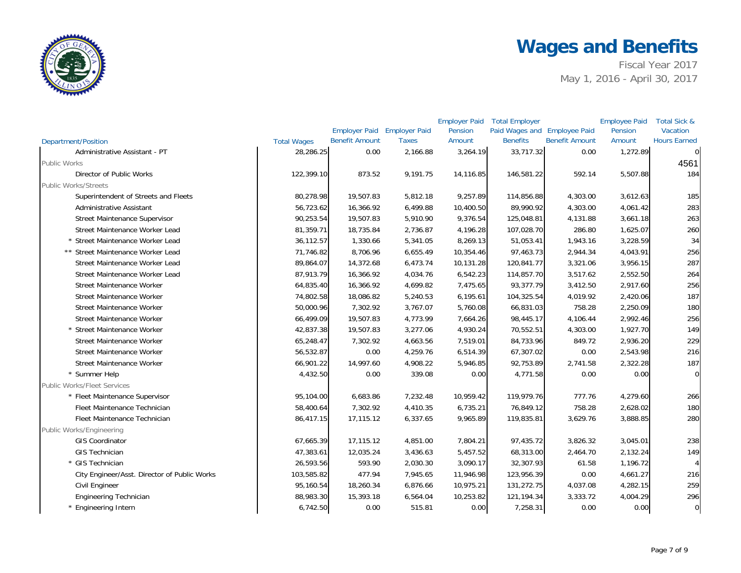

|                                              |                    |                             |              | <b>Employer Paid</b> | <b>Total Employer</b>        |                       | <b>Employee Paid</b> | Total Sick &        |
|----------------------------------------------|--------------------|-----------------------------|--------------|----------------------|------------------------------|-----------------------|----------------------|---------------------|
|                                              |                    | Employer Paid Employer Paid |              | Pension              | Paid Wages and Employee Paid |                       | Pension              | Vacation            |
| <b>Department/Position</b>                   | <b>Total Wages</b> | <b>Benefit Amount</b>       | <b>Taxes</b> | Amount               | <b>Benefits</b>              | <b>Benefit Amount</b> | Amount               | <b>Hours Earned</b> |
| Administrative Assistant - PT                | 28,286.25          | 0.00                        | 2,166.88     | 3,264.19             | 33,717.32                    | 0.00                  | 1,272.89             | $\mathbf{0}$        |
| <b>Public Works</b>                          |                    |                             |              |                      |                              |                       |                      | 4561                |
| Director of Public Works                     | 122,399.10         | 873.52                      | 9,191.75     | 14,116.85            | 146,581.22                   | 592.14                | 5,507.88             | 184                 |
| <b>Public Works/Streets</b>                  |                    |                             |              |                      |                              |                       |                      |                     |
| Superintendent of Streets and Fleets         | 80,278.98          | 19,507.83                   | 5,812.18     | 9,257.89             | 114,856.88                   | 4,303.00              | 3,612.63             | 185                 |
| Administrative Assistant                     | 56,723.62          | 16,366.92                   | 6,499.88     | 10,400.50            | 89,990.92                    | 4,303.00              | 4,061.42             | 283                 |
| <b>Street Maintenance Supervisor</b>         | 90,253.54          | 19,507.83                   | 5,910.90     | 9,376.54             | 125,048.81                   | 4,131.88              | 3,661.18             | 263                 |
| Street Maintenance Worker Lead               | 81,359.71          | 18,735.84                   | 2,736.87     | 4,196.28             | 107,028.70                   | 286.80                | 1,625.07             | 260                 |
| * Street Maintenance Worker Lead             | 36,112.57          | 1,330.66                    | 5,341.05     | 8,269.13             | 51,053.41                    | 1,943.16              | 3,228.59             | 34                  |
| ** Street Maintenance Worker Lead            | 71,746.82          | 8,706.96                    | 6,655.49     | 10,354.46            | 97,463.73                    | 2,944.34              | 4,043.91             | 256                 |
| Street Maintenance Worker Lead               | 89,864.07          | 14,372.68                   | 6,473.74     | 10,131.28            | 120,841.77                   | 3,321.06              | 3,956.15             | 287                 |
| Street Maintenance Worker Lead               | 87,913.79          | 16,366.92                   | 4,034.76     | 6,542.23             | 114,857.70                   | 3,517.62              | 2,552.50             | 264                 |
| Street Maintenance Worker                    | 64,835.40          | 16,366.92                   | 4,699.82     | 7,475.65             | 93,377.79                    | 3,412.50              | 2,917.60             | 256                 |
| Street Maintenance Worker                    | 74,802.58          | 18,086.82                   | 5,240.53     | 6,195.61             | 104,325.54                   | 4,019.92              | 2,420.06             | 187                 |
| Street Maintenance Worker                    | 50,000.96          | 7,302.92                    | 3,767.07     | 5,760.08             | 66,831.03                    | 758.28                | 2,250.09             | 180                 |
| Street Maintenance Worker                    | 66,499.09          | 19,507.83                   | 4,773.99     | 7,664.26             | 98,445.17                    | 4,106.44              | 2,992.46             | 256                 |
| * Street Maintenance Worker                  | 42,837.38          | 19,507.83                   | 3,277.06     | 4,930.24             | 70,552.51                    | 4,303.00              | 1,927.70             | 149                 |
| Street Maintenance Worker                    | 65,248.47          | 7,302.92                    | 4,663.56     | 7,519.01             | 84,733.96                    | 849.72                | 2,936.20             | 229                 |
| Street Maintenance Worker                    | 56,532.87          | 0.00                        | 4,259.76     | 6,514.39             | 67,307.02                    | 0.00                  | 2,543.98             | 216                 |
| Street Maintenance Worker                    | 66,901.22          | 14,997.60                   | 4,908.22     | 5,946.85             | 92,753.89                    | 2,741.58              | 2,322.28             | 187                 |
| * Summer Help                                | 4,432.50           | 0.00                        | 339.08       | 0.00                 | 4,771.58                     | 0.00                  | 0.00                 | $\Omega$            |
| <b>Public Works/Fleet Services</b>           |                    |                             |              |                      |                              |                       |                      |                     |
| * Fleet Maintenance Supervisor               | 95,104.00          | 6,683.86                    | 7,232.48     | 10,959.42            | 119,979.76                   | 777.76                | 4,279.60             | 266                 |
| Fleet Maintenance Technician                 | 58,400.64          | 7,302.92                    | 4,410.35     | 6,735.21             | 76,849.12                    | 758.28                | 2,628.02             | 180                 |
| Fleet Maintenance Technician                 | 86,417.15          | 17,115.12                   | 6,337.65     | 9,965.89             | 119,835.81                   | 3,629.76              | 3,888.85             | 280                 |
| Public Works/Engineering                     |                    |                             |              |                      |                              |                       |                      |                     |
| <b>GIS Coordinator</b>                       | 67,665.39          | 17,115.12                   | 4,851.00     | 7,804.21             | 97,435.72                    | 3,826.32              | 3,045.01             | 238                 |
| <b>GIS Technician</b>                        | 47,383.61          | 12,035.24                   | 3,436.63     | 5,457.52             | 68,313.00                    | 2,464.70              | 2,132.24             | 149                 |
| * GIS Technician                             | 26,593.56          | 593.90                      | 2,030.30     | 3,090.17             | 32,307.93                    | 61.58                 | 1,196.72             |                     |
| City Engineer/Asst. Director of Public Works | 103,585.82         | 477.94                      | 7,945.65     | 11,946.98            | 123,956.39                   | 0.00                  | 4,661.27             | 216                 |
| Civil Engineer                               | 95,160.54          | 18,260.34                   | 6,876.66     | 10,975.21            | 131,272.75                   | 4,037.08              | 4,282.15             | 259                 |
| Engineering Technician                       | 88,983.30          | 15,393.18                   | 6,564.04     | 10,253.82            | 121,194.34                   | 3,333.72              | 4,004.29             | 296                 |
| * Engineering Intern                         | 6,742.50           | 0.00                        | 515.81       | 0.00                 | 7,258.31                     | 0.00                  | 0.00                 | $\overline{0}$      |
|                                              |                    |                             |              |                      |                              |                       |                      |                     |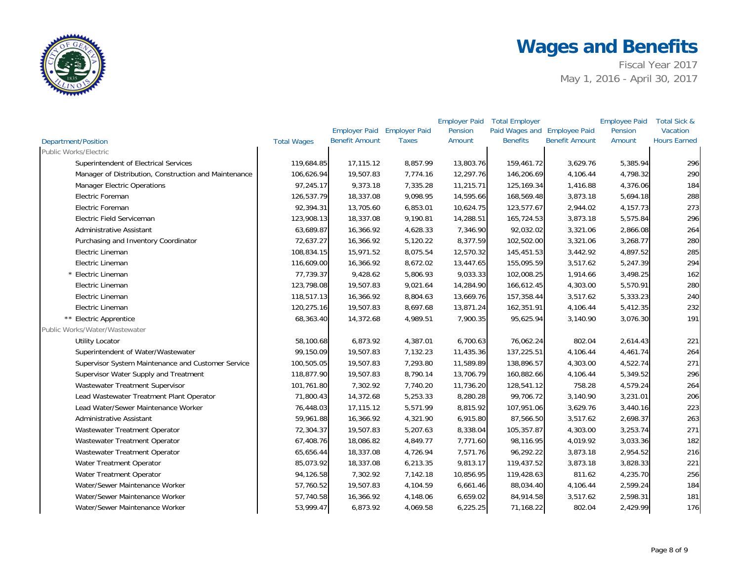

|                                                       |                    |                       |                      | <b>Employer Paid</b> | <b>Total Employer</b>        |                       | <b>Employee Paid</b> | Total Sick &        |
|-------------------------------------------------------|--------------------|-----------------------|----------------------|----------------------|------------------------------|-----------------------|----------------------|---------------------|
|                                                       |                    | <b>Employer Paid</b>  | <b>Employer Paid</b> | Pension              | Paid Wages and Employee Paid |                       | Pension              | Vacation            |
| <b>Department/Position</b>                            | <b>Total Wages</b> | <b>Benefit Amount</b> | <b>Taxes</b>         | Amount               | <b>Benefits</b>              | <b>Benefit Amount</b> | Amount               | <b>Hours Earned</b> |
| <b>Public Works/Electric</b>                          |                    |                       |                      |                      |                              |                       |                      |                     |
| Superintendent of Electrical Services                 | 119,684.85         | 17,115.12             | 8,857.99             | 13,803.76            | 159,461.72                   | 3,629.76              | 5,385.94             | 296                 |
| Manager of Distribution, Construction and Maintenance | 106,626.94         | 19,507.83             | 7,774.16             | 12,297.76            | 146,206.69                   | 4,106.44              | 4,798.32             | 290                 |
| <b>Manager Electric Operations</b>                    | 97,245.17          | 9,373.18              | 7,335.28             | 11,215.71            | 125,169.34                   | 1,416.88              | 4,376.06             | 184                 |
| Electric Foreman                                      | 126,537.79         | 18,337.08             | 9,098.95             | 14,595.66            | 168,569.48                   | 3,873.18              | 5,694.18             | 288                 |
| Electric Foreman                                      | 92,394.31          | 13,705.60             | 6,853.01             | 10,624.75            | 123,577.67                   | 2,944.02              | 4,157.73             | 273                 |
| Electric Field Serviceman                             | 123,908.13         | 18,337.08             | 9,190.81             | 14,288.51            | 165,724.53                   | 3,873.18              | 5,575.84             | 296                 |
| <b>Administrative Assistant</b>                       | 63,689.87          | 16,366.92             | 4,628.33             | 7,346.90             | 92,032.02                    | 3,321.06              | 2,866.08             | 264                 |
| Purchasing and Inventory Coordinator                  | 72,637.27          | 16,366.92             | 5,120.22             | 8,377.59             | 102,502.00                   | 3,321.06              | 3,268.77             | 280                 |
| Electric Lineman                                      | 108,834.15         | 15,971.52             | 8,075.54             | 12,570.32            | 145,451.53                   | 3,442.92              | 4,897.52             | 285                 |
| Electric Lineman                                      | 116,609.00         | 16,366.92             | 8,672.02             | 13,447.65            | 155,095.59                   | 3,517.62              | 5,247.39             | 294                 |
| * Electric Lineman                                    | 77,739.37          | 9,428.62              | 5,806.93             | 9,033.33             | 102,008.25                   | 1,914.66              | 3,498.25             | 162                 |
| Electric Lineman                                      | 123,798.08         | 19,507.83             | 9,021.64             | 14,284.90            | 166,612.45                   | 4,303.00              | 5,570.91             | 280                 |
| Electric Lineman                                      | 118,517.13         | 16,366.92             | 8,804.63             | 13,669.76            | 157,358.44                   | 3,517.62              | 5,333.23             | 240                 |
| Electric Lineman                                      | 120,275.16         | 19,507.83             | 8,697.68             | 13,871.24            | 162,351.91                   | 4,106.44              | 5,412.35             | 232                 |
| ** Electric Apprentice                                | 68,363.40          | 14,372.68             | 4,989.51             | 7,900.35             | 95,625.94                    | 3,140.90              | 3,076.30             | 191                 |
| Public Works/Water/Wastewater                         |                    |                       |                      |                      |                              |                       |                      |                     |
| <b>Utility Locator</b>                                | 58,100.68          | 6,873.92              | 4,387.01             | 6,700.63             | 76,062.24                    | 802.04                | 2,614.43             | 221                 |
| Superintendent of Water/Wastewater                    | 99,150.09          | 19,507.83             | 7,132.23             | 11,435.36            | 137,225.51                   | 4,106.44              | 4,461.74             | 264                 |
| Supervisor System Maintenance and Customer Service    | 100,505.05         | 19,507.83             | 7,293.80             | 11,589.89            | 138,896.57                   | 4,303.00              | 4,522.74             | 271                 |
| Supervisor Water Supply and Treatment                 | 118,877.90         | 19,507.83             | 8,790.14             | 13,706.79            | 160,882.66                   | 4,106.44              | 5,349.52             | 296                 |
| Wastewater Treatment Supervisor                       | 101,761.80         | 7,302.92              | 7,740.20             | 11,736.20            | 128,541.12                   | 758.28                | 4,579.24             | 264                 |
| Lead Wastewater Treatment Plant Operator              | 71,800.43          | 14,372.68             | 5,253.33             | 8,280.28             | 99,706.72                    | 3,140.90              | 3,231.01             | 206                 |
| Lead Water/Sewer Maintenance Worker                   | 76,448.03          | 17,115.12             | 5,571.99             | 8,815.92             | 107,951.06                   | 3,629.76              | 3,440.16             | 223                 |
| <b>Administrative Assistant</b>                       | 59,961.88          | 16,366.92             | 4,321.90             | 6,915.80             | 87,566.50                    | 3,517.62              | 2,698.37             | 263                 |
| Wastewater Treatment Operator                         | 72,304.37          | 19,507.83             | 5,207.63             | 8,338.04             | 105,357.87                   | 4,303.00              | 3,253.74             | 271                 |
| Wastewater Treatment Operator                         | 67,408.76          | 18,086.82             | 4,849.77             | 7,771.60             | 98,116.95                    | 4,019.92              | 3,033.36             | 182                 |
| Wastewater Treatment Operator                         | 65,656.44          | 18,337.08             | 4,726.94             | 7,571.76             | 96,292.22                    | 3,873.18              | 2,954.52             | 216                 |
| Water Treatment Operator                              | 85,073.92          | 18,337.08             | 6,213.35             | 9,813.17             | 119,437.52                   | 3,873.18              | 3,828.33             | 221                 |
| Water Treatment Operator                              | 94,126.58          | 7,302.92              | 7,142.18             | 10,856.95            | 119,428.63                   | 811.62                | 4,235.70             | 256                 |
| Water/Sewer Maintenance Worker                        | 57,760.52          | 19,507.83             | 4,104.59             | 6,661.46             | 88,034.40                    | 4,106.44              | 2,599.24             | 184                 |
| Water/Sewer Maintenance Worker                        | 57,740.58          | 16,366.92             | 4,148.06             | 6,659.02             | 84,914.58                    | 3,517.62              | 2,598.31             | 181                 |
| Water/Sewer Maintenance Worker                        | 53,999.47          | 6,873.92              | 4,069.58             | 6,225.25             | 71,168.22                    | 802.04                | 2,429.99             | 176                 |
|                                                       |                    |                       |                      |                      |                              |                       |                      |                     |